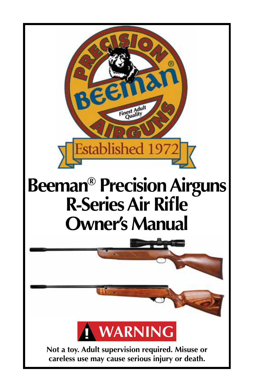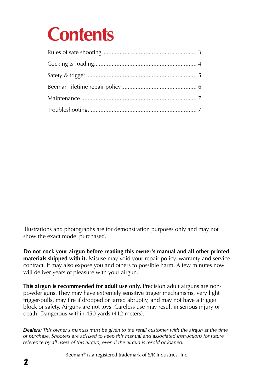## **Contents**

Illustrations and photographs are for demonstration purposes only and may not show the exact model purchased.

**Do not cock your airgun before reading this owner's manual and all other printed materials shipped with it.** Misuse may void your repair policy, warranty and service contract. It may also expose you and others to possible harm. A few minutes now will deliver years of pleasure with your airgun.

**This airgun is recommended for adult use only.** Precision adult airguns are nonpowder guns. They may have extremely sensitive trigger mechanisms, very light trigger-pulls, may fire if dropped or jarred abruptly, and may not have a trigger block or safety. Airguns are not toys. Careless use may result in serious injury or death. Dangerous within 450 yards (412 meters).

*Dealers: This owner's manual must be given to the retail customer with the airgun at the time of purchase. Shooters are advised to keep this manual and associated instructions for future reference by all users of this airgun, even if the airgun is resold or loaned.*

Beeman® is a registered trademark of S/R Industries, Inc.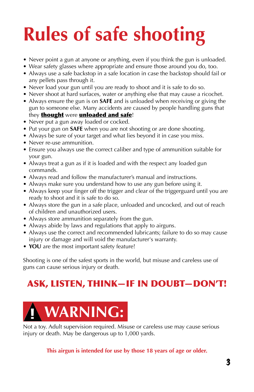## **Rules of safe shooting**

- Never point a gun at anyone or anything, even if you think the gun is unloaded.
- Wear safety glasses where appropriate and ensure those around you do, too.
- Always use a safe backstop in a safe location in case the backstop should fail or any pellets pass through it.
- Never load your gun until you are ready to shoot and it is safe to do so.
- Never shoot at hard surfaces, water or anything else that may cause a ricochet.
- Always ensure the gun is on **SAFE** and is unloaded when receiving or giving the gun to someone else. Many accidents are caused by people handling guns that they **thought** were **unloaded and safe!**
- Never put a gun away loaded or cocked.
- Put your gun on **SAFE** when you are not shooting or are done shooting.
- Always be sure of your target and what lies beyond it in case you miss.
- Never re-use ammunition.
- Ensure you always use the correct caliber and type of ammunition suitable for your gun.
- Always treat a gun as if it is loaded and with the respect any loaded gun commands.
- Always read and follow the manufacturer's manual and instructions.
- Always make sure you understand how to use any gun before using it.
- Always keep your finger off the trigger and clear of the triggerguard until you are ready to shoot and it is safe to do so.
- Always store the gun in a safe place, unloaded and uncocked, and out of reach of children and unauthorized users.
- Always store ammunition separately from the gun.
- Always abide by laws and regulations that apply to airguns.
- Always use the correct and recommended lubricants; failure to do so may cause injury or damage and will void the manufacturer's warranty.
- **YOU** are the most important safety feature!

Shooting is one of the safest sports in the world, but misuse and careless use of guns can cause serious injury or death.

#### ASK, LISTEN, THINK—IF IN DOUBT—DON'T!



Not a toy. Adult supervision required. Misuse or careless use may cause serious injury or death. May be dangerous up to 1,000 yards.

**This airgun is intended for use by those 18 years of age or older.**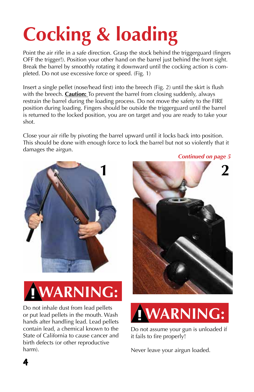# **Cocking & loading**

Point the air rifle in a safe direction. Grasp the stock behind the triggerguard (fingers OFF the trigger!). Position your other hand on the barrel just behind the front sight. Break the barrel by smoothly rotating it downward until the cocking action is completed. Do not use excessive force or speed. (Fig. 1)

Insert a single pellet (nose/head first) into the breech (Fig. 2) until the skirt is flush with the breech. **Caution:** To prevent the barrel from closing suddenly, always restrain the barrel during the loading process. Do not move the safety to the FIRE position during loading. Fingers should be outside the triggerguard until the barrel is returned to the locked position, you are on target and you are ready to take your shot.

Close your air rifle by pivoting the barrel upward until it locks back into position. This should be done with enough force to lock the barrel but not so violently that it damages the airgun.





Do not inhale dust from lead pellets or put lead pellets in the mouth. Wash hands after handling lead. Lead pellets contain lead, a chemical known to the State of California to cause cancer and birth defects (or other reproductive harm).





Do not assume your gun is unloaded if it fails to fire properly!

Never leave your airgun loaded.

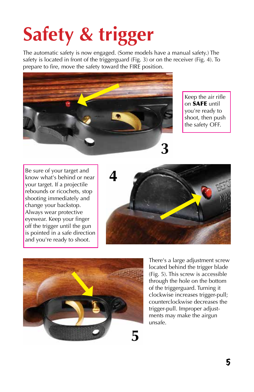# **Safety & trigger**

The automatic safety is now engaged. (Some models have a manual safety.) The safety is located in front of the triggerguard (Fig. 3) or on the receiver (Fig. 4). To prepare to fire, move the safety toward the FIRE position.



Keep the air rifle on SAFE until you're ready to shoot, then push the safety OFF.

Be sure of your target and know what's behind or near your target. If a projectile rebounds or ricochets, stop shooting immediately and change your backstop. Always wear protective eyewear. Keep your finger off the trigger until the gun is pointed in a safe direction and you're ready to shoot.





There's a large adjustment screw located behind the trigger blade (Fig. 5). This screw is accessible through the hole on the bottom of the triggerguard. Turning it clockwise increases trigger-pull; counterclockwise decreases the trigger-pull. Improper adjustments may make the airgun unsafe.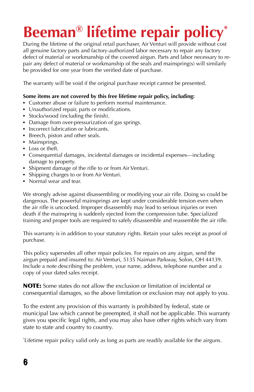### **Beeman® lifetime repair policy\***

During the lifetime of the original retail purchaser, Air Venturi will provide without cost all genuine factory parts and factory-authorized labor necessary to repair any factory defect of material or workmanship of the covered airgun. Parts and labor necessary to repair any defect of material or workmanship of the seals and mainspring(s) will similarly be provided for one year from the verified date of purchase.

The warranty will be void if the original purchase receipt cannot be presented.

#### **Some items are not covered by this free lifetime repair policy, including:**

- Customer abuse or failure to perform normal maintenance.
- Unauthorized repair, parts or modifications.
- Stocks/wood (including the finish).
- Damage from over-pressurization of gas springs.
- Incorrect lubrication or lubricants.
- Breech, piston and other seals.
- Mainsprings.
- Loss or theft.
- • Consequential damages, incidental damages or incidental expenses—including damage to property.
- Shipment damage of the rifle to or from Air Venturi.
- Shipping charges to or from Air Venturi.
- Normal wear and tear.

We strongly advise against disassembling or modifying your air rifle. Doing so could be dangerous. The powerful mainsprings are kept under considerable tension even when the air rifle is uncocked. Improper disassembly may lead to serious injuries or even death if the mainspring is suddenly ejected from the compression tube. Specialized training and proper tools are required to safely disassemble and reassemble the air rifle.

This warranty is in addition to your statutory rights. Retain your sales receipt as proof of purchase.

This policy supersedes all other repair policies. For repairs on any airgun, send the airgun prepaid and insured to: Air Venturi, 5135 Naiman Parkway, Solon, OH 44139. Include a note describing the problem, your name, address, telephone number and a copy of your dated sales receipt.

NOTE: Some states do not allow the exclusion or limitation of incidental or consequential damages, so the above limitation or exclusion may not apply to you.

To the extent any provision of this warranty is prohibited by federal, state or municipal law which cannot be preempted, it shall not be applicable. This warranty gives you specific legal rights, and you may also have other rights which vary from state to state and country to country.

\* Lifetime repair policy valid only as long as parts are readily available for the airguns.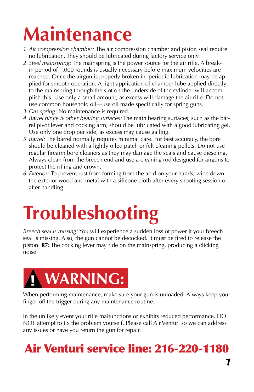## **Maintenance**

- *1. Air compression chamber:* The air compression chamber and piston seal require no lubrication. They should be lubricated during factory service only.
- *2. Steel mainspring:* The mainspring is the power source for the air rifle. A breakin period of 1,000 rounds is usually necessary before maximum velocities are reached. Once the airgun is properly broken in, periodic lubrication may be applied for smooth operation. A light application of chamber lube applied directly to the mainspring through the slot on the underside of the cylinder will accomplish this. Use only a small amount, as excess will damage the air rifle. Do not use common household oil—use oil made specifically for spring guns.
- *3. Gas spring:* No maintenance is required.
- *4. Barrel hinge & other bearing surfaces:* The main bearing surfaces, such as the barrel pivot lever and cocking arm, should be lubricated with a good lubricating gel. Use only one drop per side, as excess may cause galling.
- *5. Barrel:* The barrel normally requires minimal care. For best accuracy, the bore should be cleaned with a lightly oiled patch or felt cleaning pellets. Do not use regular firearm bore cleaners as they may damage the seals and cause dieseling. Always clean from the breech end and use a cleaning rod designed for airguns to protect the rifling and crown.
- *6. Exterior:* To prevent rust from forming from the acid on your hands, wipe down the exterior wood and metal with a silicone cloth after every shooting session or after handling.

## **Troubleshooting**

*Breech seal is missing:* You will experience a sudden loss of power if your breech seal is missing. Also, the gun cannot be decocked. It must be fired to release the piston. **R7:** The cocking lever may ride on the mainspring, producing a clicking noise.



When performing maintenance, make sure your gun is unloaded. Always keep your finger off the trigger during any maintenance routine.

In the unlikely event your rifle malfunctions or exhibits reduced performance, DO NOT attempt to fix the problem yourself. Please call Air Venturi so we can address any issues or have you return the gun for repair.

#### Air Venturi service line: 216-220-1180